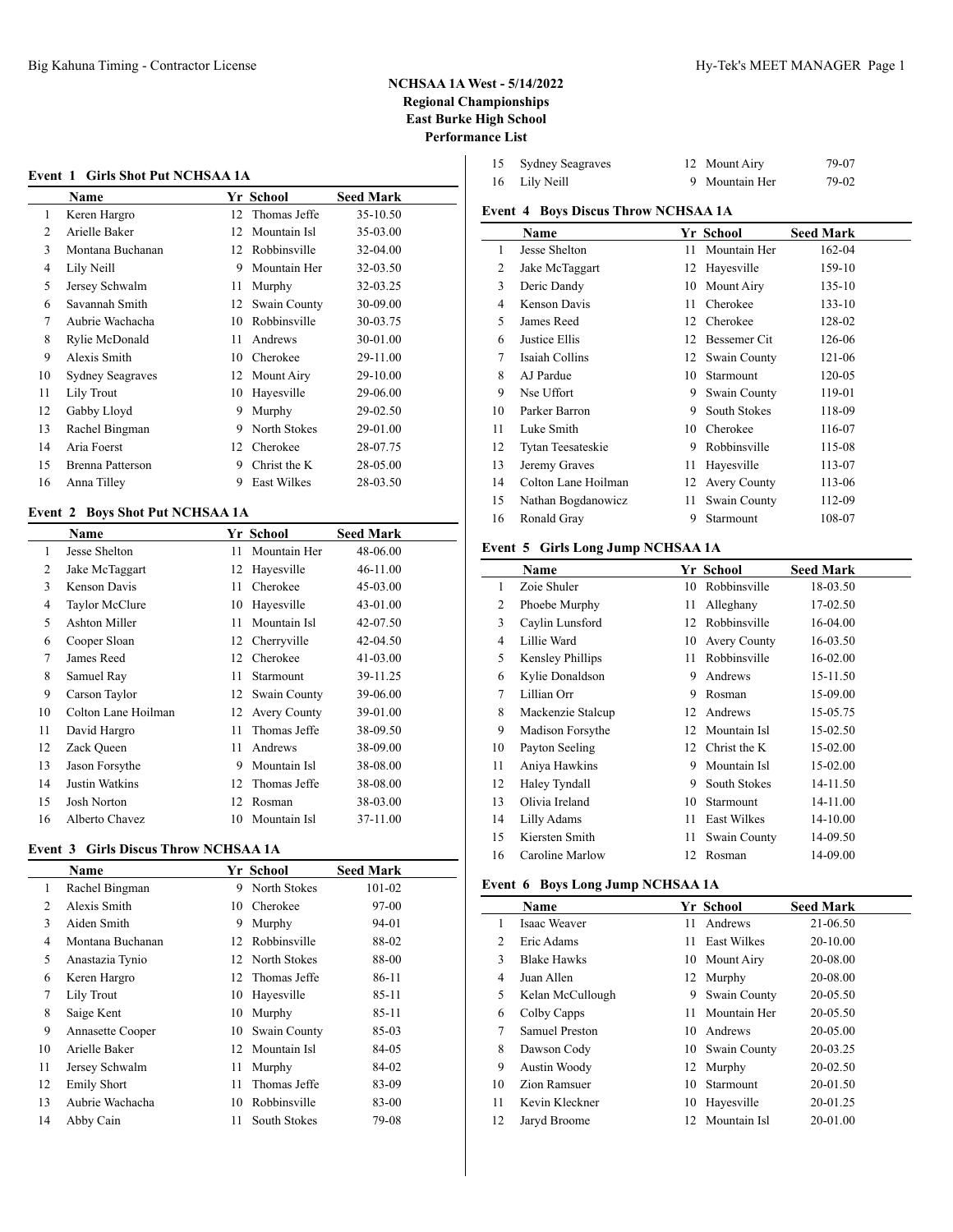| 15 Sydney Seagraves | 12 Mount Airy  | 79-07 |
|---------------------|----------------|-------|
| 16 Lily Neill       | 9 Mountain Her | 79-02 |

## **Event 4 Boys Discus Throw NCHSAA 1A**

|    | Name                |    | Yr School           | <b>Seed Mark</b> |
|----|---------------------|----|---------------------|------------------|
| 1  | Jesse Shelton       | 11 | Mountain Her        | 162-04           |
| 2  | Jake McTaggart      | 12 | Hayesville          | 159-10           |
| 3  | Deric Dandy         | 10 | Mount Airy          | 135-10           |
| 4  | Kenson Davis        | 11 | Cherokee            | $133 - 10$       |
| 5  | James Reed          | 12 | Cherokee            | 128-02           |
| 6  | Justice Ellis       | 12 | Bessemer Cit        | 126-06           |
| 7  | Isaiah Collins      | 12 | Swain County        | 121-06           |
| 8  | AJ Pardue           | 10 | Starmount           | 120-05           |
| 9  | Nse Uffort          | 9  | Swain County        | 119-01           |
| 10 | Parker Barron       | 9  | South Stokes        | 118-09           |
| 11 | Luke Smith          | 10 | Cherokee            | 116-07           |
| 12 | Tytan Teesateskie   | 9  | Robbinsville        | 115-08           |
| 13 | Jeremy Graves       | 11 | Hayesville          | 113-07           |
| 14 | Colton Lane Hoilman | 12 | <b>Avery County</b> | 113-06           |
| 15 | Nathan Bogdanowicz  | 11 | Swain County        | 112-09           |
| 16 | Ronald Gray         | 9  | Starmount           | 108-07           |
|    |                     |    |                     |                  |

### **Event 5 Girls Long Jump NCHSAA 1A**

|    | Name              |    | Yr School           | <b>Seed Mark</b> |
|----|-------------------|----|---------------------|------------------|
| 1  | Zoie Shuler       | 10 | Robbinsville        | 18-03.50         |
| 2  | Phoebe Murphy     | 11 | Alleghany           | 17-02.50         |
| 3  | Caylin Lunsford   | 12 | Robbinsville        | 16-04.00         |
| 4  | Lillie Ward       | 10 | <b>Avery County</b> | 16-03.50         |
| 5  | Kensley Phillips  | 11 | Robbinsville        | 16-02.00         |
| 6  | Kylie Donaldson   | 9  | Andrews             | 15-11.50         |
| 7  | Lillian Orr       | 9  | Rosman              | 15-09.00         |
| 8  | Mackenzie Stalcup | 12 | Andrews             | 15-05.75         |
| 9  | Madison Forsythe  | 12 | Mountain Isl        | 15-02.50         |
| 10 | Payton Seeling    | 12 | Christ the K        | 15-02.00         |
| 11 | Aniya Hawkins     | 9  | Mountain Isl        | 15-02.00         |
| 12 | Haley Tyndall     | 9  | South Stokes        | 14-11.50         |
| 13 | Olivia Ireland    | 10 | Starmount           | 14-11.00         |
| 14 | Lilly Adams       | 11 | East Wilkes         | 14-10.00         |
| 15 | Kiersten Smith    | 11 | Swain County        | 14-09.50         |
| 16 | Caroline Marlow   | 12 | Rosman              | 14-09.00         |

## **Event 6 Boys Long Jump NCHSAA 1A**

|    | Name               |     | Yr School          | <b>Seed Mark</b> |
|----|--------------------|-----|--------------------|------------------|
|    | Isaac Weaver       | 11  | Andrews            | 21-06.50         |
| 2  | Eric Adams         | 11. | <b>East Wilkes</b> | 20-10.00         |
| 3  | <b>Blake Hawks</b> | 10  | Mount Airy         | 20-08.00         |
| 4  | Juan Allen         |     | 12 Murphy          | 20-08.00         |
| 5  | Kelan McCullough   | 9   | Swain County       | 20-05.50         |
| 6  | Colby Capps        | 11  | Mountain Her       | 20-05.50         |
| 7  | Samuel Preston     | 10  | Andrews            | 20-05.00         |
| 8  | Dawson Cody        |     | 10 Swain County    | 20-03.25         |
| 9  | Austin Woody       |     | 12 Murphy          | 20-02.50         |
| 10 | Zion Ramsuer       | 10  | Starmount          | 20-01.50         |
| 11 | Kevin Kleckner     | 10  | Hayesville         | 20-01.25         |
| 12 | Jaryd Broome       |     | 12 Mountain Isl    | 20-01.00         |

#### **Event 1 Girls Shot Put NCHSAA 1A**

|    | Name                    |    | Yr School          | <b>Seed Mark</b> |
|----|-------------------------|----|--------------------|------------------|
| 1  | Keren Hargro            | 12 | Thomas Jeffe       | 35-10.50         |
| 2  | Arielle Baker           | 12 | Mountain Isl       | 35-03.00         |
| 3  | Montana Buchanan        | 12 | Robbinsville       | $32 - 04.00$     |
| 4  | Lily Neill              | 9  | Mountain Her       | 32-03.50         |
| 5  | Jersey Schwalm          | 11 | Murphy             | 32-03.25         |
| 6  | Savannah Smith          | 12 | Swain County       | 30-09.00         |
| 7  | Aubrie Wachacha         | 10 | Robbinsville       | 30-03.75         |
| 8  | Rylie McDonald          | 11 | Andrews            | 30-01.00         |
| 9  | Alexis Smith            | 10 | Cherokee           | 29-11.00         |
| 10 | <b>Sydney Seagraves</b> | 12 | Mount Airv         | 29-10.00         |
| 11 | Lily Trout              | 10 | Hayesville         | 29-06.00         |
| 12 | Gabby Lloyd             | 9  | Murphy             | 29-02.50         |
| 13 | Rachel Bingman          | 9  | North Stokes       | 29-01.00         |
| 14 | Aria Foerst             | 12 | Cherokee           | 28-07.75         |
| 15 | Brenna Patterson        | 9  | Christ the K       | 28-05.00         |
| 16 | Anna Tilley             | 9  | <b>East Wilkes</b> | 28-03.50         |

#### **Event 2 Boys Shot Put NCHSAA 1A**

|    | Name                |    | Yr School           | <b>Seed Mark</b> |  |
|----|---------------------|----|---------------------|------------------|--|
| 1  | Jesse Shelton       | 11 | Mountain Her        | 48-06.00         |  |
| 2  | Jake McTaggart      | 12 | Hayesville          | 46-11.00         |  |
| 3  | Kenson Davis        | 11 | Cherokee            | 45-03.00         |  |
| 4  | Taylor McClure      | 10 | Hayesville          | 43-01.00         |  |
| 5  | Ashton Miller       | 11 | Mountain Isl        | 42-07.50         |  |
| 6  | Cooper Sloan        |    | 12 Cherryville      | 42-04.50         |  |
| 7  | James Reed          | 12 | Cherokee            | $41 - 03.00$     |  |
| 8  | Samuel Ray          | 11 | Starmount           | 39-11.25         |  |
| 9  | Carson Taylor       | 12 | Swain County        | 39-06.00         |  |
| 10 | Colton Lane Hoilman | 12 | <b>Avery County</b> | 39-01.00         |  |
| 11 | David Hargro        | 11 | Thomas Jeffe        | 38-09.50         |  |
| 12 | Zack Queen          | 11 | Andrews             | 38-09.00         |  |
| 13 | Jason Forsythe      | 9  | Mountain Isl        | 38-08.00         |  |
| 14 | Justin Watkins      | 12 | Thomas Jeffe        | 38-08.00         |  |
| 15 | <b>Josh Norton</b>  | 12 | Rosman              | 38-03.00         |  |
| 16 | Alberto Chavez      | 10 | Mountain Isl        | 37-11.00         |  |

#### **Event 3 Girls Discus Throw NCHSAA 1A**

|    | Name               |    | Yr School       | <b>Seed Mark</b> |
|----|--------------------|----|-----------------|------------------|
| 1  | Rachel Bingman     | 9  | North Stokes    | 101-02           |
| 2  | Alexis Smith       | 10 | Cherokee        | 97-00            |
| 3  | Aiden Smith        | 9  | Murphy          | 94-01            |
| 4  | Montana Buchanan   | 12 | Robbinsville    | 88-02            |
| 5  | Anastazia Tynio    | 12 | North Stokes    | 88-00            |
| 6  | Keren Hargro       |    | 12 Thomas Jeffe | 86-11            |
| 7  | Lily Trout         | 10 | Hayesville      | 85-11            |
| 8  | Saige Kent         | 10 | Murphy          | 85-11            |
| 9  | Annasette Cooper   | 10 | Swain County    | 85-03            |
| 10 | Arielle Baker      | 12 | Mountain Isl    | 84-05            |
| 11 | Jersey Schwalm     | 11 | Murphy          | 84-02            |
| 12 | <b>Emily Short</b> | 11 | Thomas Jeffe    | 83-09            |
| 13 | Aubrie Wachacha    | 10 | Robbinsville    | 83-00            |
| 14 | Abby Cain          | 11 | South Stokes    | 79-08            |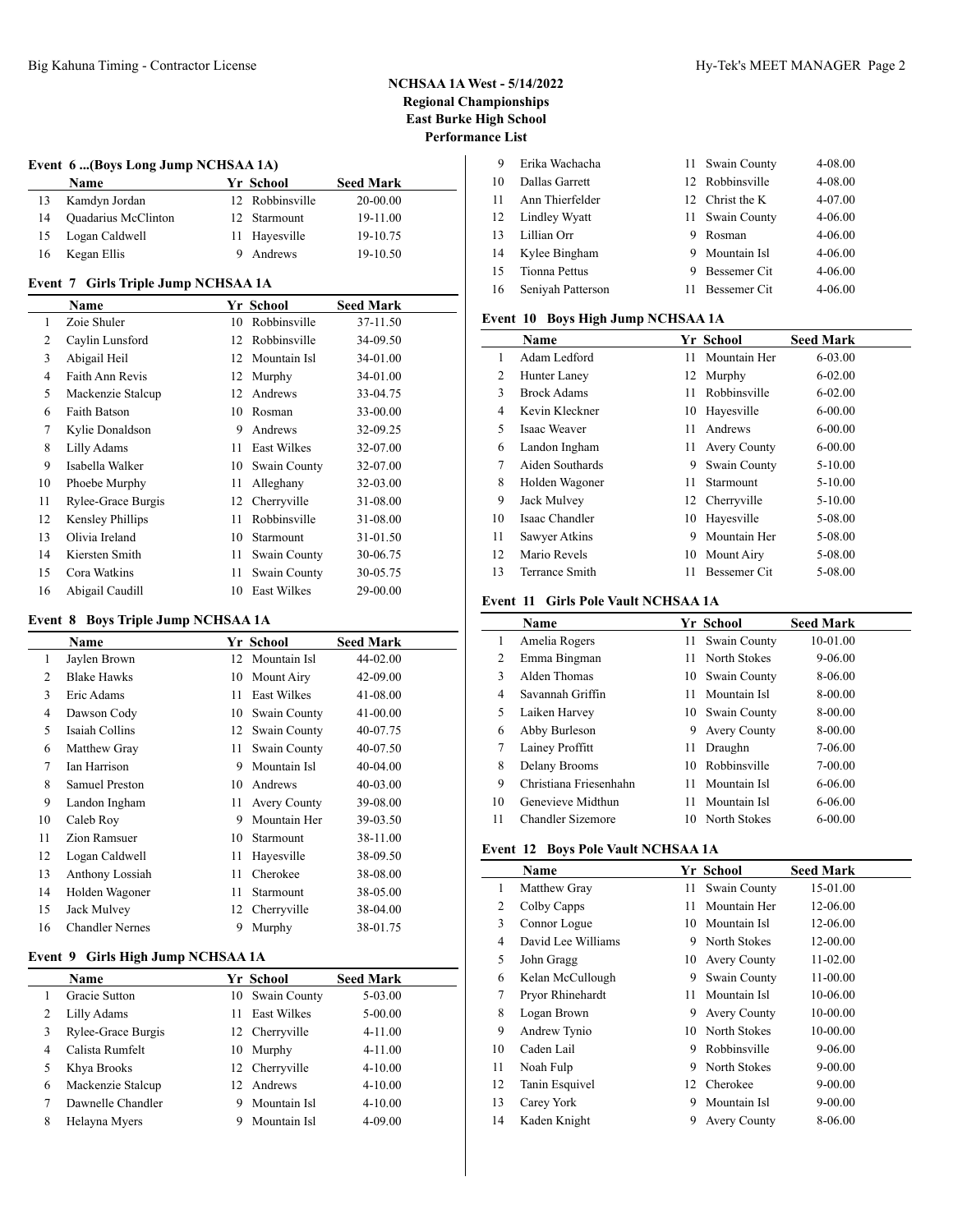## **Event 6 ...(Boys Long Jump NCHSAA 1A)**

|    | <b>Name</b>         | Yr School       | <b>Seed Mark</b> |  |
|----|---------------------|-----------------|------------------|--|
|    | Kamdyn Jordan       | 12 Robbinsville | 20-00.00         |  |
| 14 | Quadarius McClinton | 12 Starmount    | 19-11.00         |  |
| 15 | Logan Caldwell      | 11 Hayesville   | 19-10.75         |  |
| 16 | Kegan Ellis         | Andrews         | 19-10.50         |  |

#### **Event 7 Girls Triple Jump NCHSAA 1A**

|    | Name                |    | Yr School          | <b>Seed Mark</b> |
|----|---------------------|----|--------------------|------------------|
| 1  | Zoie Shuler         | 10 | Robbinsville       | 37-11.50         |
| 2  | Caylin Lunsford     | 12 | Robbinsville       | 34-09.50         |
| 3  | Abigail Heil        | 12 | Mountain Isl       | 34-01.00         |
| 4  | Faith Ann Revis     | 12 | Murphy             | 34-01.00         |
| 5  | Mackenzie Stalcup   | 12 | Andrews            | 33-04.75         |
| 6  | <b>Faith Batson</b> | 10 | Rosman             | 33-00.00         |
| 7  | Kylie Donaldson     | 9  | Andrews            | 32-09.25         |
| 8  | Lilly Adams         | 11 | <b>East Wilkes</b> | 32-07.00         |
| 9  | Isabella Walker     | 10 | Swain County       | 32-07.00         |
| 10 | Phoebe Murphy       | 11 | Alleghany          | 32-03.00         |
| 11 | Rylee-Grace Burgis  | 12 | Cherryville        | 31-08.00         |
| 12 | Kensley Phillips    | 11 | Robbinsville       | 31-08.00         |
| 13 | Olivia Ireland      | 10 | Starmount          | 31-01.50         |
| 14 | Kiersten Smith      | 11 | Swain County       | 30-06.75         |
| 15 | Cora Watkins        | 11 | Swain County       | 30-05.75         |
| 16 | Abigail Caudill     | 10 | <b>East Wilkes</b> | 29-00.00         |

#### **Event 8 Boys Triple Jump NCHSAA 1A**

| $\frac{1}{2}$ |                        |    |                     |                  |  |  |
|---------------|------------------------|----|---------------------|------------------|--|--|
|               | <b>Name</b>            |    | Yr School           | <b>Seed Mark</b> |  |  |
| 1             | Jaylen Brown           | 12 | Mountain Isl        | 44-02.00         |  |  |
| 2             | <b>Blake Hawks</b>     | 10 | Mount Airy          | 42-09.00         |  |  |
| 3             | Eric Adams             | 11 | East Wilkes         | 41-08.00         |  |  |
| 4             | Dawson Cody            | 10 | Swain County        | 41-00.00         |  |  |
| 5             | Isaiah Collins         | 12 | Swain County        | 40-07.75         |  |  |
| 6             | Matthew Gray           | 11 | Swain County        | 40-07.50         |  |  |
| 7             | Ian Harrison           | 9  | Mountain Isl        | $40-04.00$       |  |  |
| 8             | Samuel Preston         | 10 | Andrews             | 40-03.00         |  |  |
| 9             | Landon Ingham          | 11 | <b>Avery County</b> | 39-08.00         |  |  |
| 10            | Caleb Roy              | 9  | Mountain Her        | 39-03.50         |  |  |
| 11            | Zion Ramsuer           | 10 | Starmount           | 38-11.00         |  |  |
| 12            | Logan Caldwell         | 11 | Hayesville          | 38-09.50         |  |  |
| 13            | Anthony Lossiah        | 11 | Cherokee            | 38-08.00         |  |  |
| 14            | Holden Wagoner         | 11 | Starmount           | 38-05.00         |  |  |
| 15            | Jack Mulvey            | 12 | Cherryville         | 38-04.00         |  |  |
| 16            | <b>Chandler Nernes</b> | 9  | <b>Murphy</b>       | 38-01.75         |  |  |

#### **Event 9 Girls High Jump NCHSAA 1A**

|   | <b>Name</b>        |     | Yr School          | <b>Seed Mark</b> |
|---|--------------------|-----|--------------------|------------------|
|   | Gracie Sutton      |     | 10 Swain County    | $5 - 03.00$      |
| 2 | Lilly Adams        | 11. | <b>East Wilkes</b> | $5 - 00.00$      |
| 3 | Rylee-Grace Burgis |     | 12 Cherryville     | $4 - 11.00$      |
| 4 | Calista Rumfelt    | 10  | Murphy             | $4 - 11.00$      |
| 5 | Khya Brooks        |     | 12 Cherryville     | $4 - 10.00$      |
| 6 | Mackenzie Stalcup  |     | 12 Andrews         | $4 - 10.00$      |
|   | Dawnelle Chandler  | 9   | Mountain Isl       | $4 - 10.00$      |
| 8 | Helayna Myers      | 9   | Mountain Isl       | 4-09.00          |

| -9 | Erika Wachacha       | 11 Swain County | 4-08.00     |
|----|----------------------|-----------------|-------------|
| 10 | Dallas Garrett       | 12 Robbinsville | 4-08.00     |
| 11 | Ann Thierfelder      | 12 Christ the K | 4-07.00     |
|    | 12 Lindley Wyatt     | 11 Swain County | 4-06.00     |
| 13 | Lillian Orr          | Rosman          | 4-06.00     |
|    | 14 Kylee Bingham     | 9 Mountain Isl  | $4 - 06.00$ |
| 15 | <b>Tionna Pettus</b> | 9 Bessemer Cit  | $4 - 06.00$ |
|    | 16 Seniyah Patterson | 11 Bessemer Cit | 4-06.00     |

#### **Event 10 Boys High Jump NCHSAA 1A**

|    | <b>Name</b>        |    | Yr School           | <b>Seed Mark</b> |
|----|--------------------|----|---------------------|------------------|
| 1  | Adam Ledford       | 11 | Mountain Her        | 6-03.00          |
| 2  | Hunter Laney       | 12 | Murphy              | $6 - 02.00$      |
| 3  | <b>Brock Adams</b> | 11 | Robbinsville        | $6 - 02.00$      |
| 4  | Kevin Kleckner     | 10 | Hayesville          | $6 - 00.00$      |
| 5  | Isaac Weaver       | 11 | Andrews             | $6 - 00.00$      |
| 6  | Landon Ingham      | 11 | <b>Avery County</b> | $6 - 00.00$      |
| 7  | Aiden Southards    | 9  | Swain County        | $5 - 10.00$      |
| 8  | Holden Wagoner     | 11 | Starmount           | $5 - 10.00$      |
| 9  | Jack Mulvey        |    | 12 Cherryville      | $5 - 10.00$      |
| 10 | Isaac Chandler     | 10 | Hayesville          | 5-08.00          |
| 11 | Sawyer Atkins      | 9  | Mountain Her        | 5-08.00          |
| 12 | Mario Revels       | 10 | Mount Airy          | 5-08.00          |
| 13 | Terrance Smith     | 11 | Bessemer Cit        | 5-08.00          |

#### **Event 11 Girls Pole Vault NCHSAA 1A**

|    | Name                   |     | Yr School           | <b>Seed Mark</b> |
|----|------------------------|-----|---------------------|------------------|
| 1  | Amelia Rogers          | 11  | Swain County        | 10-01.00         |
| 2  | Emma Bingman           | 11. | North Stokes        | $9 - 06.00$      |
| 3  | Alden Thomas           | 10  | Swain County        | 8-06.00          |
| 4  | Savannah Griffin       | 11  | Mountain Isl        | 8-00.00          |
| 5  | Laiken Harvey          | 10  | Swain County        | 8-00.00          |
| 6  | Abby Burleson          | 9   | <b>Avery County</b> | 8-00.00          |
| 7  | Lainey Proffitt        | 11  | Draughn             | 7-06.00          |
| 8  | Delany Brooms          | 10  | Robbinsville        | $7 - 00.00$      |
| 9  | Christiana Friesenhahn | 11  | Mountain Isl        | $6 - 06.00$      |
| 10 | Genevieve Midthun      | 11  | Mountain Isl        | $6 - 06.00$      |
| 11 | Chandler Sizemore      |     | 10 North Stokes     | $6 - 00.00$      |

## **Event 12 Boys Pole Vault NCHSAA 1A**

|    | <b>Name</b>        |    | <b>Yr School</b>    | <b>Seed Mark</b> |  |
|----|--------------------|----|---------------------|------------------|--|
| 1  | Matthew Gray       | 11 | Swain County        | 15-01.00         |  |
| 2  | Colby Capps        | 11 | Mountain Her        | 12-06.00         |  |
| 3  | Connor Logue       | 10 | Mountain Isl        | 12-06.00         |  |
| 4  | David Lee Williams | 9  | North Stokes        | 12-00.00         |  |
| 5  | John Gragg         | 10 | <b>Avery County</b> | 11-02.00         |  |
| 6  | Kelan McCullough   | 9  | Swain County        | 11-00.00         |  |
| 7  | Pryor Rhinehardt   | 11 | Mountain Isl        | 10-06.00         |  |
| 8  | Logan Brown        | 9  | <b>Avery County</b> | 10-00.00         |  |
| 9  | Andrew Tynio       | 10 | North Stokes        | 10-00.00         |  |
| 10 | Caden Lail         | 9  | Robbinsville        | $9 - 06.00$      |  |
| 11 | Noah Fulp          | 9  | North Stokes        | $9 - 00.00$      |  |
| 12 | Tanin Esquivel     | 12 | Cherokee            | $9 - 00.00$      |  |
| 13 | Carey York         | 9  | Mountain Isl        | $9 - 00.00$      |  |
| 14 | Kaden Knight       | 9  | <b>Avery County</b> | 8-06.00          |  |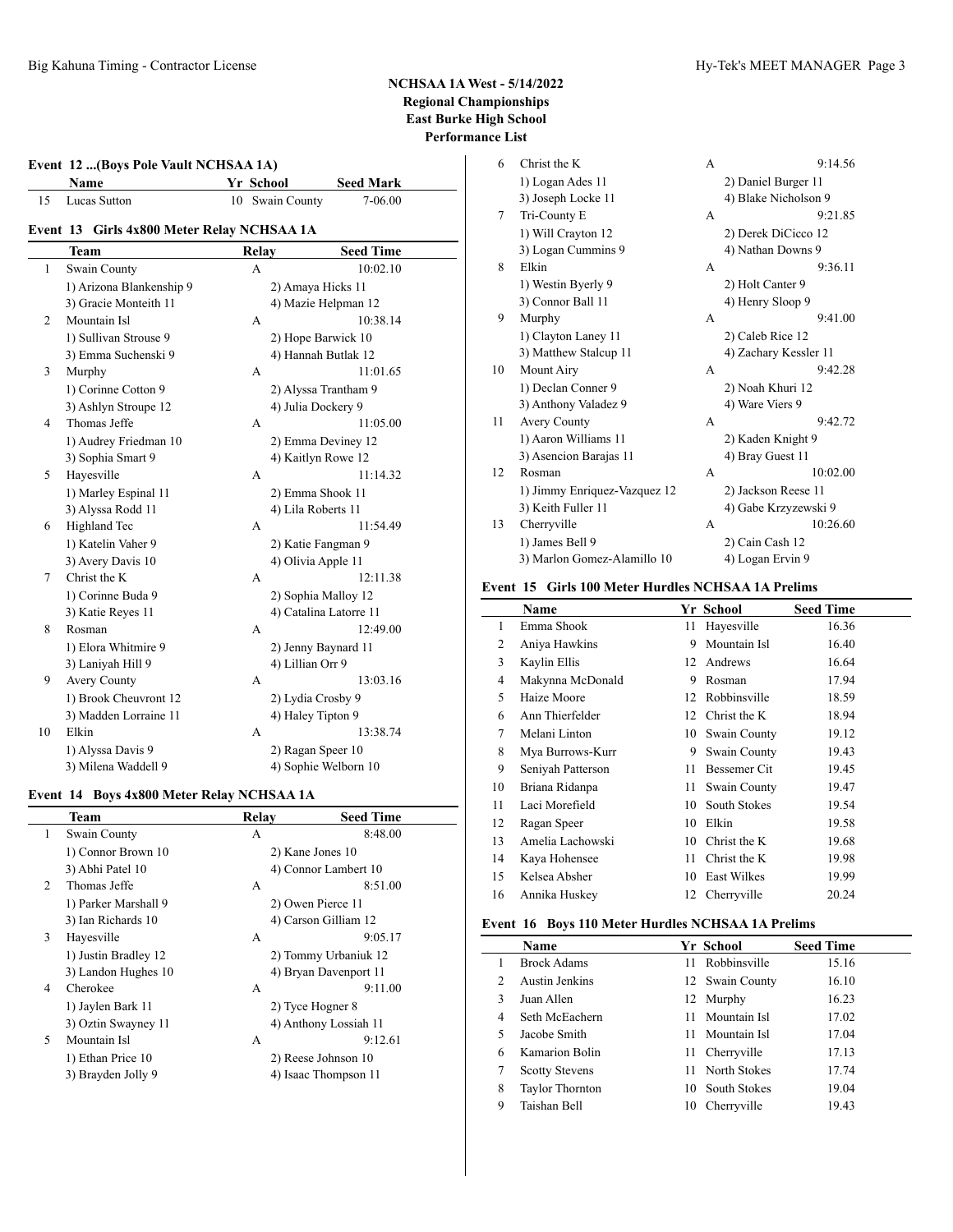**Event 12 ...(Boys Pole Vault NCHSAA 1A)**

# **NCHSAA 1A West - 5/14/2022 Regional Championships East Burke High School Performance List**

|                | <b>Name</b>                                | Yr School |                      | <b>Seed Mark</b> |  |
|----------------|--------------------------------------------|-----------|----------------------|------------------|--|
| 15             | Lucas Sutton                               | 10        | Swain County         | 7-06.00          |  |
|                | Event 13 Girls 4x800 Meter Relay NCHSAA 1A |           |                      |                  |  |
|                | <b>Team</b>                                | Relay     |                      | <b>Seed Time</b> |  |
| 1              | Swain County                               | A         |                      | 10:02.10         |  |
|                | 1) Arizona Blankenship 9                   |           | 2) Amaya Hicks 11    |                  |  |
|                | 3) Gracie Monteith 11                      |           | 4) Mazie Helpman 12  |                  |  |
| $\mathfrak{D}$ | Mountain Isl                               | A         |                      | 10:38.14         |  |
|                | 1) Sullivan Strouse 9                      |           | 2) Hope Barwick 10   |                  |  |
|                | 3) Emma Suchenski 9                        |           | 4) Hannah Butlak 12  |                  |  |
| 3              | Murphy                                     | A         |                      | 11:01.65         |  |
|                | 1) Corinne Cotton 9                        |           | 2) Alyssa Trantham 9 |                  |  |
|                | 3) Ashlyn Stroupe 12                       |           | 4) Julia Dockery 9   |                  |  |
| 4              | Thomas Jeffe                               | A         |                      | 11:05.00         |  |
|                | 1) Audrey Friedman 10                      |           | 2) Emma Deviney 12   |                  |  |
|                | 3) Sophia Smart 9                          |           | 4) Kaitlyn Rowe 12   |                  |  |
| 5              | Hayesville                                 | A         |                      | 11:14.32         |  |
|                | 1) Marley Espinal 11                       |           | 2) Emma Shook 11     |                  |  |
|                | 3) Alyssa Rodd 11                          |           | 4) Lila Roberts 11   |                  |  |
| 6              | Highland Tec                               | A         |                      | 11:54.49         |  |
|                | 1) Katelin Vaher 9                         |           | 2) Katie Fangman 9   |                  |  |
|                | 3) Avery Davis 10                          |           | 4) Olivia Apple 11   |                  |  |
| 7              | Christ the K                               | А         |                      | 12:11.38         |  |

1) Corinne Buda 9 2) Sophia Malloy 12 3) Katie Reyes 11 4) Catalina Latorre 11 8 Rosman A 12:49.00 1) Elora Whitmire 9 2) Jenny Baynard 11 3) Laniyah Hill 9 4) Lillian Orr 9 9 Avery County A 13:03.16 1) Brook Cheuvront 12 2) Lydia Crosby 9 3) Madden Lorraine 11 4) Haley Tipton 9 10 Elkin A 13:38.74 1) Alyssa Davis 9 2) Ragan Speer 10 3) Milena Waddell 9 4) Sophie Welborn 10

## **Event 14 Boys 4x800 Meter Relay NCHSAA 1A**

|                | Team                 | Relay | <b>Seed Time</b>      |
|----------------|----------------------|-------|-----------------------|
| 1              | Swain County         | A     | 8:48.00               |
|                | 1) Connor Brown 10   |       | 2) Kane Jones 10      |
|                | 3) Abhi Patel 10     |       | 4) Connor Lambert 10  |
| $\mathfrak{D}$ | Thomas Jeffe         | A     | 8:51.00               |
|                | 1) Parker Marshall 9 |       | 2) Owen Pierce 11     |
|                | 3) Ian Richards 10   |       | 4) Carson Gilliam 12  |
| 3              | Hayesville           | A     | 9:05.17               |
|                | 1) Justin Bradley 12 |       | 2) Tommy Urbaniuk 12  |
|                | 3) Landon Hughes 10  |       | 4) Bryan Davenport 11 |
| 4              | Cherokee             | А     | 9:11.00               |
|                | 1) Jaylen Bark 11    |       | 2) Tyce Hogner 8      |
|                | 3) Oztin Swayney 11  |       | 4) Anthony Lossiah 11 |
| 5              | Mountain Isl         | А     | 9:12.61               |
|                | 1) Ethan Price 10    |       | 2) Reese Johnson 10   |
|                | 3) Brayden Jolly 9   |       | 4) Isaac Thompson 11  |
|                |                      |       |                       |

| 6  | Christ the K                 | A            | 9:14.56               |
|----|------------------------------|--------------|-----------------------|
|    | 1) Logan Ades 11             |              | 2) Daniel Burger 11   |
|    | 3) Joseph Locke 11           |              | 4) Blake Nicholson 9  |
| 7  | Tri-County E                 | A            | 9:21.85               |
|    | 1) Will Crayton 12           |              | 2) Derek DiCicco 12   |
|    | 3) Logan Cummins 9           |              | 4) Nathan Downs 9     |
| 8  | Elkin                        | $\mathsf{A}$ | 9:36.11               |
|    | 1) Westin Byerly 9           |              | 2) Holt Canter 9      |
|    | 3) Connor Ball 11            |              | 4) Henry Sloop 9      |
| 9  | Murphy                       | A            | 9:41.00               |
|    | 1) Clayton Laney 11          |              | 2) Caleb Rice 12      |
|    | 3) Matthew Stalcup 11        |              | 4) Zachary Kessler 11 |
| 10 | Mount Airy                   | A            | 9:42.28               |
|    | 1) Declan Conner 9           |              | 2) Noah Khuri 12      |
|    | 3) Anthony Valadez 9         |              | 4) Ware Viers 9       |
| 11 | <b>Avery County</b>          | A            | 9:42.72               |
|    | 1) Aaron Williams 11         |              | 2) Kaden Knight 9     |
|    | 3) Asencion Barajas 11       |              | 4) Bray Guest 11      |
| 12 | Rosman                       | A            | 10:02.00              |
|    | 1) Jimmy Enriquez-Vazquez 12 |              | 2) Jackson Reese 11   |
|    | 3) Keith Fuller 11           |              | 4) Gabe Krzyzewski 9  |
| 13 | Cherryville                  | A            | 10:26.60              |
|    | 1) James Bell 9              |              | 2) Cain Cash 12       |
|    | 3) Marlon Gomez-Alamillo 10  |              | 4) Logan Ervin 9      |
|    |                              |              |                       |

#### **Event 15 Girls 100 Meter Hurdles NCHSAA 1A Prelims**

|    | <b>Name</b>       |    | Yr School           | <b>Seed Time</b> |
|----|-------------------|----|---------------------|------------------|
| 1  | Emma Shook        | 11 | Hayesville          | 16.36            |
| 2  | Aniya Hawkins     | 9  | Mountain Isl        | 16.40            |
| 3  | Kaylin Ellis      | 12 | Andrews             | 16.64            |
| 4  | Makynna McDonald  | 9  | Rosman              | 17.94            |
| 5  | Haize Moore       | 12 | Robbinsville        | 18.59            |
| 6  | Ann Thierfelder   | 12 | Christ the K        | 18.94            |
| 7  | Melani Linton     | 10 | Swain County        | 19.12            |
| 8  | Mya Burrows-Kurr  | 9  | Swain County        | 19.43            |
| 9  | Seniyah Patterson | 11 | <b>Bessemer</b> Cit | 19.45            |
| 10 | Briana Ridanpa    | 11 | Swain County        | 19.47            |
| 11 | Laci Morefield    | 10 | South Stokes        | 19.54            |
| 12 | Ragan Speer       | 10 | Elkin               | 19.58            |
| 13 | Amelia Lachowski  | 10 | Christ the K        | 19.68            |
| 14 | Kaya Hohensee     | 11 | Christ the K        | 19.98            |
| 15 | Kelsea Absher     | 10 | East Wilkes         | 19.99            |
| 16 | Annika Huskey     | 12 | Cherryville         | 20.24            |

## **Event 16 Boys 110 Meter Hurdles NCHSAA 1A Prelims**

|               | <b>Name</b>            |     | Yr School       | <b>Seed Time</b> |
|---------------|------------------------|-----|-----------------|------------------|
|               | <b>Brock Adams</b>     | 11  | Robbinsville    | 15.16            |
| $\mathcal{L}$ | Austin Jenkins         |     | 12 Swain County | 16.10            |
| 3             | Juan Allen             |     | 12 Murphy       | 16.23            |
| 4             | Seth McEachern         | 11  | Mountain Isl    | 17.02            |
| 5             | Jacobe Smith           | 11. | Mountain Isl    | 17.04            |
| 6             | Kamarion Bolin         | 11  | Cherryville     | 17.13            |
| 7             | <b>Scotty Stevens</b>  | 11. | North Stokes    | 17.74            |
| 8             | <b>Taylor Thornton</b> | 10  | South Stokes    | 19.04            |
| 9             | Taishan Bell           | 10  | Cherryville     | 19.43            |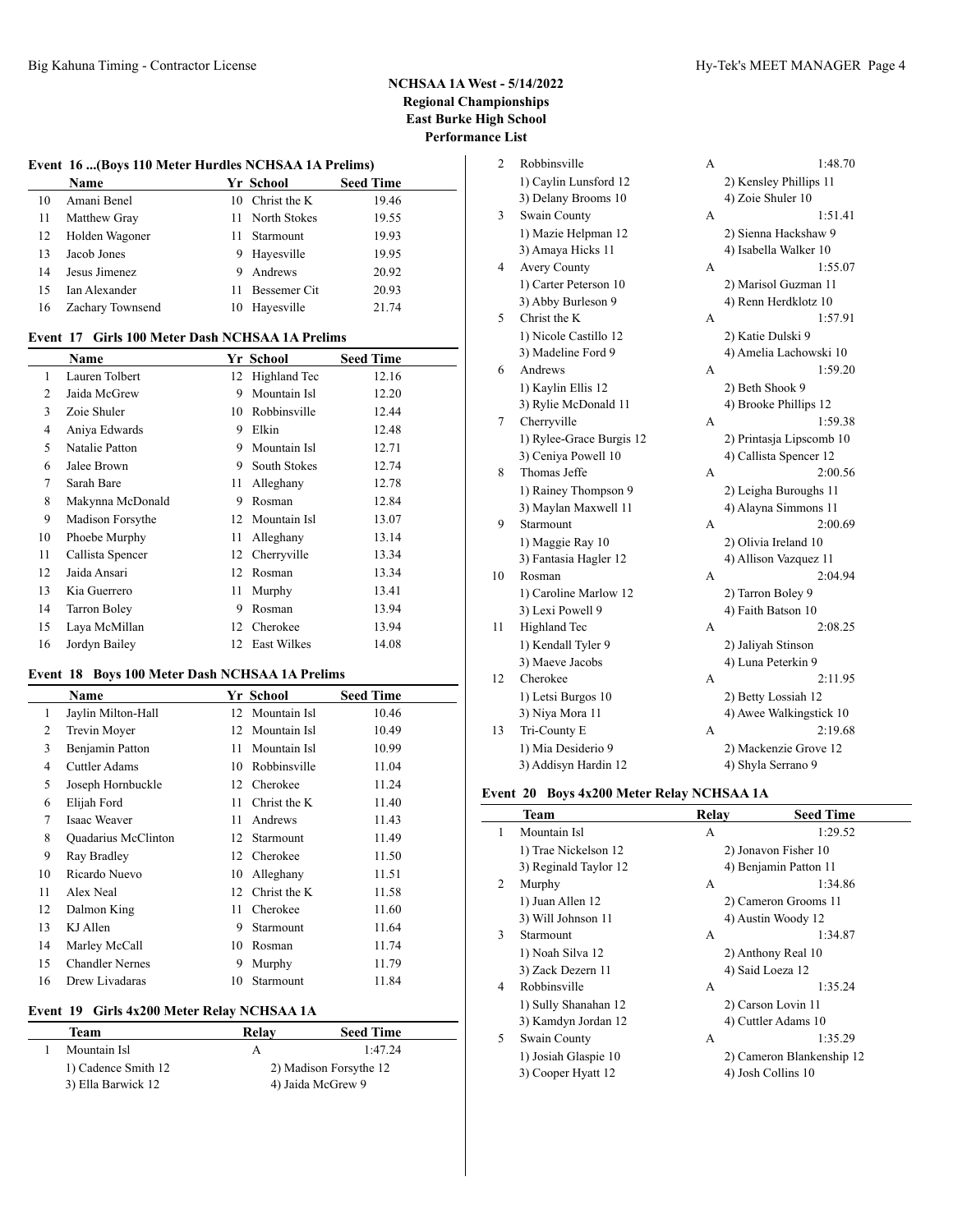#### **Event 16 ...(Boys 110 Meter Hurdles NCHSAA 1A Prelims)**

|    | <b>Name</b>      |    | Yr School       | <b>Seed Time</b> |  |
|----|------------------|----|-----------------|------------------|--|
| 10 | Amani Benel      |    | 10 Christ the K | 19.46            |  |
| 11 | Matthew Gray     |    | 11 North Stokes | 19.55            |  |
| 12 | Holden Wagoner   | П  | Starmount       | 19.93            |  |
| 13 | Jacob Jones      | 9  | Hayesville      | 19.95            |  |
| 14 | Jesus Jimenez    | 9  | Andrews         | 20.92            |  |
| 15 | Ian Alexander    |    | Bessemer Cit    | 20.93            |  |
| 16 | Zachary Townsend | 10 | Hayesville      | 21.74            |  |

## **Event 17 Girls 100 Meter Dash NCHSAA 1A Prelims**

|    | Name             |    | Yr School       | <b>Seed Time</b> |
|----|------------------|----|-----------------|------------------|
| 1  | Lauren Tolbert   | 12 | Highland Tec    | 12.16            |
| 2  | Jaida McGrew     | 9  | Mountain Isl    | 12.20            |
| 3  | Zoie Shuler      | 10 | Robbinsville    | 12.44            |
| 4  | Aniya Edwards    | 9  | Elkin           | 12.48            |
| 5  | Natalie Patton   | 9  | Mountain Isl    | 12.71            |
| 6  | Jalee Brown      | 9  | South Stokes    | 12.74            |
| 7  | Sarah Bare       | 11 | Alleghany       | 12.78            |
| 8  | Makynna McDonald | 9  | Rosman          | 12.84            |
| 9  | Madison Forsythe |    | 12 Mountain Isl | 13.07            |
| 10 | Phoebe Murphy    | 11 | Alleghany       | 13.14            |
| 11 | Callista Spencer |    | 12 Cherryville  | 13.34            |
| 12 | Jaida Ansari     | 12 | Rosman          | 13.34            |
| 13 | Kia Guerrero     | 11 | Murphy          | 13.41            |
| 14 | Tarron Boley     | 9  | Rosman          | 13.94            |
| 15 | Laya McMillan    | 12 | Cherokee        | 13.94            |
| 16 | Jordyn Bailey    |    | 12 East Wilkes  | 14.08            |

# **Event 18 Boys 100 Meter Dash NCHSAA 1A Prelims**

 $\overline{a}$ 

|              | <b>Name</b>            |    | Yr School       | <b>Seed Time</b> |  |
|--------------|------------------------|----|-----------------|------------------|--|
| $\mathbf{1}$ | Jaylin Milton-Hall     |    | 12 Mountain Isl | 10.46            |  |
| 2            | Trevin Moyer           |    | 12 Mountain Isl | 10.49            |  |
| 3            | Benjamin Patton        | 11 | Mountain Isl    | 10.99            |  |
| 4            | Cuttler Adams          | 10 | Robbinsville    | 11.04            |  |
| 5            | Joseph Hornbuckle      |    | 12 Cherokee     | 11.24            |  |
| 6            | Elijah Ford            | 11 | Christ the K    | 11.40            |  |
| 7            | <b>Isaac Weaver</b>    | 11 | Andrews         | 11.43            |  |
| 8            | Quadarius McClinton    | 12 | Starmount       | 11.49            |  |
| 9            | Ray Bradley            |    | 12 Cherokee     | 11.50            |  |
| 10           | Ricardo Nuevo          | 10 | Alleghany       | 11.51            |  |
| 11           | Alex Neal              |    | 12 Christ the K | 11.58            |  |
| 12           | Dalmon King            | 11 | Cherokee        | 11.60            |  |
| 13           | KJ Allen               | 9  | Starmount       | 11.64            |  |
| 14           | Marley McCall          | 10 | Rosman          | 11.74            |  |
| 15           | <b>Chandler Nernes</b> | 9  | <b>Murphy</b>   | 11.79            |  |
| 16           | Drew Livadaras         | 10 | Starmount       | 11.84            |  |

### **Event 19 Girls 4x200 Meter Relay NCHSAA 1A**

| Team                | Relav             | <b>Seed Time</b>       |
|---------------------|-------------------|------------------------|
| Mountain Isl        |                   | 1:47.24                |
| 1) Cadence Smith 12 |                   | 2) Madison Forsythe 12 |
| 3) Ella Barwick 12  | 4) Jaida McGrew 9 |                        |

| 2  | Robbinsville             | А | 1:48.70                  |
|----|--------------------------|---|--------------------------|
|    | 1) Caylin Lunsford 12    |   | 2) Kensley Phillips 11   |
|    | 3) Delany Brooms 10      |   | 4) Zoie Shuler 10        |
| 3  | Swain County             | А | 1:51.41                  |
|    | 1) Mazie Helpman 12      |   | 2) Sienna Hackshaw 9     |
|    | 3) Amaya Hicks 11        |   | 4) Isabella Walker 10    |
| 4  | Avery County             | А | 1:55.07                  |
|    | 1) Carter Peterson 10    |   | 2) Marisol Guzman 11     |
|    | 3) Abby Burleson 9       |   | 4) Renn Herdklotz 10     |
| 5  | Christ the K             | А | 1:57.91                  |
|    | 1) Nicole Castillo 12    |   | 2) Katie Dulski 9        |
|    | 3) Madeline Ford 9       |   | 4) Amelia Lachowski 10   |
| 6  | Andrews                  | А | 1:59.20                  |
|    | 1) Kaylin Ellis 12       |   | 2) Beth Shook 9          |
|    | 3) Rylie McDonald 11     |   | 4) Brooke Phillips 12    |
| 7  | Cherryville              | А | 1:59.38                  |
|    | 1) Rylee-Grace Burgis 12 |   | 2) Printasja Lipscomb 10 |
|    | 3) Ceniya Powell 10      |   | 4) Callista Spencer 12   |
| 8  | Thomas Jeffe             | A | 2:00.56                  |
|    | 1) Rainey Thompson 9     |   | 2) Leigha Buroughs 11    |
|    | 3) Maylan Maxwell 11     |   | 4) Alayna Simmons 11     |
| 9  | Starmount                | А | 2:00.69                  |
|    | 1) Maggie Ray 10         |   | 2) Olivia Ireland 10     |
|    | 3) Fantasia Hagler 12    |   | 4) Allison Vazquez 11    |
| 10 | Rosman                   | А | 2:04.94                  |
|    | 1) Caroline Marlow 12    |   | 2) Tarron Boley 9        |
|    | 3) Lexi Powell 9         |   | 4) Faith Batson 10       |
| 11 | Highland Tec             | А | 2:08.25                  |
|    | 1) Kendall Tyler 9       |   | 2) Jaliyah Stinson       |
|    | 3) Maeve Jacobs          |   | 4) Luna Peterkin 9       |
| 12 | Cherokee                 | А | 2:11.95                  |
|    | 1) Letsi Burgos 10       |   | 2) Betty Lossiah 12      |
|    | 3) Niya Mora 11          |   | 4) Awee Walkingstick 10  |
| 13 | Tri-County E             | A | 2:19.68                  |
|    | 1) Mia Desiderio 9       |   | 2) Mackenzie Grove 12    |
|    | 3) Addisyn Hardin 12     |   | 4) Shyla Serrano 9       |

#### **Event 20 Boys 4x200 Meter Relay NCHSAA 1A**

|   | Team                  | Relay | <b>Seed Time</b>          |
|---|-----------------------|-------|---------------------------|
| 1 | Mountain Isl          | А     | 1:29.52                   |
|   | 1) Trae Nickelson 12  |       | 2) Jonavon Fisher 10      |
|   | 3) Reginald Taylor 12 |       | 4) Benjamin Patton 11     |
| 2 | Murphy                | А     | 1:34.86                   |
|   | 1) Juan Allen 12      |       | 2) Cameron Grooms 11      |
|   | 3) Will Johnson 11    |       | 4) Austin Woody 12        |
| 3 | Starmount             | А     | 1:34.87                   |
|   | 1) Noah Silva 12      |       | 2) Anthony Real 10        |
|   | 3) Zack Dezern 11     |       | 4) Said Loeza 12          |
| 4 | Robbinsville          | А     | 1:35.24                   |
|   | 1) Sully Shanahan 12  |       | 2) Carson Lovin 11        |
|   | 3) Kamdyn Jordan 12   |       | 4) Cuttler Adams 10       |
| 5 | Swain County          | А     | 1:35.29                   |
|   | 1) Josiah Glaspie 10  |       | 2) Cameron Blankenship 12 |
|   | 3) Cooper Hyatt 12    |       | 4) Josh Collins 10        |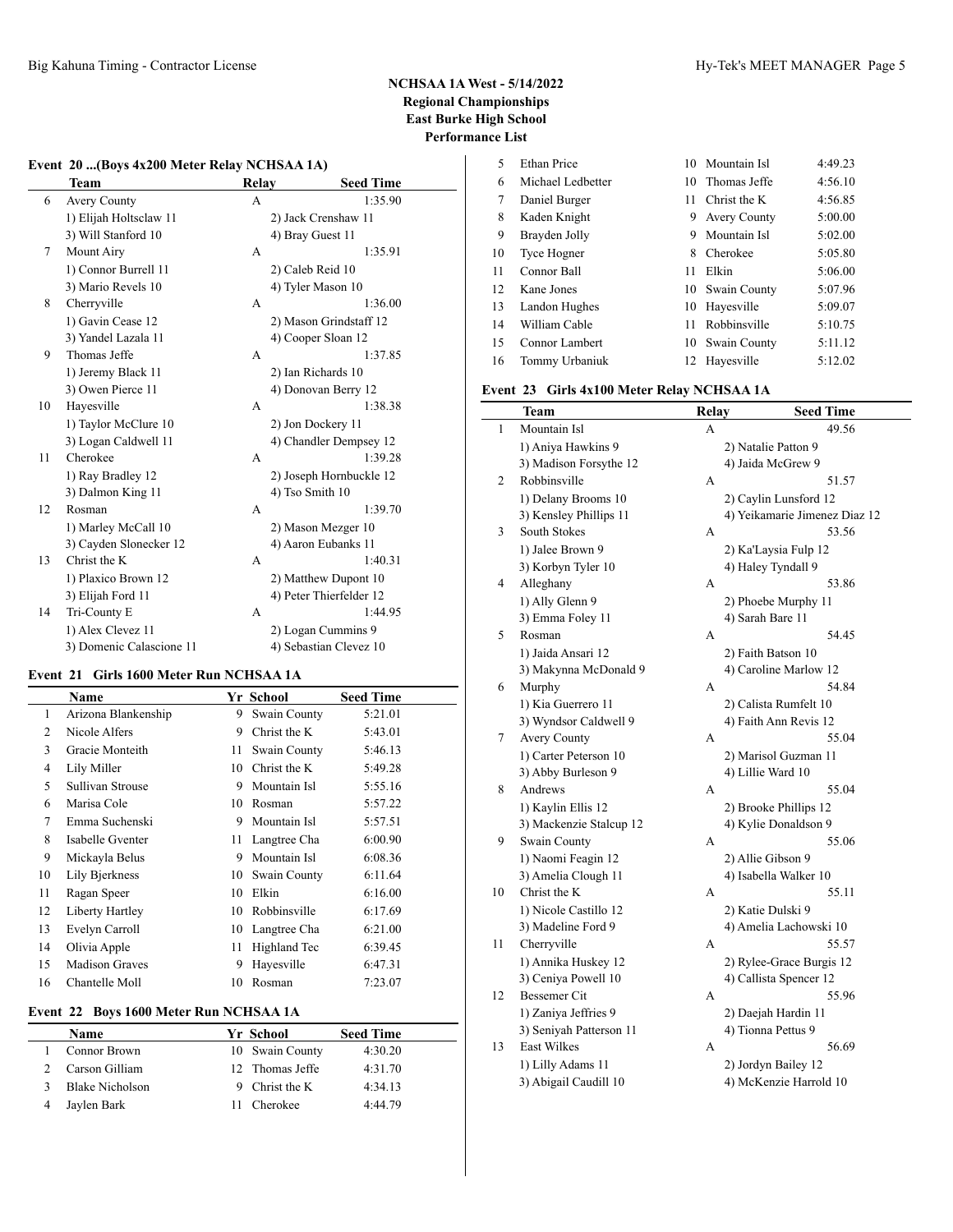$\overline{\phantom{a}}$ 

## **Event 20 ...(Boys 4x200 Meter Relay NCHSAA 1A)**

|    | Team                     | Relay | <b>Seed Time</b>        |
|----|--------------------------|-------|-------------------------|
| 6  | <b>Avery County</b>      | A     | 1:35.90                 |
|    | 1) Elijah Holtsclaw 11   |       | 2) Jack Crenshaw 11     |
|    | 3) Will Stanford 10      |       | 4) Bray Guest 11        |
| 7  | Mount Airy               | A     | 1:35.91                 |
|    | 1) Connor Burrell 11     |       | 2) Caleb Reid 10        |
|    | 3) Mario Revels 10       |       | 4) Tyler Mason 10       |
| 8  | Cherryville              | A     | 1:36.00                 |
|    | 1) Gavin Cease 12        |       | 2) Mason Grindstaff 12  |
|    | 3) Yandel Lazala 11      |       | 4) Cooper Sloan 12      |
| 9  | Thomas Jeffe             | A     | 1:37.85                 |
|    | 1) Jeremy Black 11       |       | 2) Ian Richards 10      |
|    | 3) Owen Pierce 11        |       | 4) Donovan Berry 12     |
| 10 | Hayesville               | A     | 1:38.38                 |
|    | 1) Taylor McClure 10     |       | 2) Jon Dockery 11       |
|    | 3) Logan Caldwell 11     |       | 4) Chandler Dempsey 12  |
| 11 | Cherokee                 | A     | 1:39.28                 |
|    | 1) Ray Bradley 12        |       | 2) Joseph Hornbuckle 12 |
|    | 3) Dalmon King 11        |       | 4) Tso Smith 10         |
| 12 | Rosman                   | A     | 1:39.70                 |
|    | 1) Marley McCall 10      |       | 2) Mason Mezger 10      |
|    | 3) Cayden Slonecker 12   |       | 4) Aaron Eubanks 11     |
| 13 | Christ the K             | A     | 1:40.31                 |
|    | 1) Plaxico Brown 12      |       | 2) Matthew Dupont 10    |
|    | 3) Elijah Ford 11        |       | 4) Peter Thierfelder 12 |
| 14 | Tri-County E             | A     | 1:44.95                 |
|    | 1) Alex Clevez 11        |       | 2) Logan Cummins 9      |
|    | 3) Domenic Calascione 11 |       | 4) Sebastian Clevez 10  |

## **Event 21 Girls 1600 Meter Run NCHSAA 1A**

|    | Name                  |    | Yr School    | <b>Seed Time</b> |
|----|-----------------------|----|--------------|------------------|
| 1  | Arizona Blankenship   | 9  | Swain County | 5:21.01          |
| 2  | Nicole Alfers         | 9  | Christ the K | 5:43.01          |
| 3  | Gracie Monteith       | 11 | Swain County | 5:46.13          |
| 4  | Lily Miller           | 10 | Christ the K | 5:49.28          |
| 5  | Sullivan Strouse      | 9  | Mountain Isl | 5:55.16          |
| 6  | Marisa Cole           | 10 | Rosman       | 5:57.22          |
| 7  | Emma Suchenski        | 9  | Mountain Isl | 5:57.51          |
| 8  | Isabelle Gventer      | 11 | Langtree Cha | 6:00.90          |
| 9  | Mickayla Belus        | 9  | Mountain Isl | 6:08.36          |
| 10 | Lily Bjerkness        | 10 | Swain County | 6:11.64          |
| 11 | Ragan Speer           | 10 | Elkin        | 6:16.00          |
| 12 | Liberty Hartley       | 10 | Robbinsville | 6:17.69          |
| 13 | Evelyn Carroll        | 10 | Langtree Cha | 6:21.00          |
| 14 | Olivia Apple          | 11 | Highland Tec | 6:39.45          |
| 15 | <b>Madison Graves</b> | 9  | Hayesville   | 6:47.31          |
| 16 | Chantelle Moll        | 10 | Rosman       | 7:23.07          |

### **Event 22 Boys 1600 Meter Run NCHSAA 1A**

| Name            | Yr School       | <b>Seed Time</b> |
|-----------------|-----------------|------------------|
| Connor Brown    | 10 Swain County | 4:30.20          |
| Carson Gilliam  | 12 Thomas Jeffe | 4:31.70          |
| Blake Nicholson | 9 Christ the K  | 4:34.13          |
| Jaylen Bark     | Cherokee        | 4:44.79          |

| 5  | <b>Ethan Price</b> | 10. | Mountain Isl        | 4:49.23 |
|----|--------------------|-----|---------------------|---------|
| 6  | Michael Ledbetter  | 10. | Thomas Jeffe        | 4:56.10 |
| 7  | Daniel Burger      | 11  | Christ the K        | 4:56.85 |
| 8  | Kaden Knight       | 9   | <b>Avery County</b> | 5:00.00 |
| 9  | Brayden Jolly      | 9   | Mountain Isl        | 5:02.00 |
| 10 | Tyce Hogner        | 8   | Cherokee            | 5:05.80 |
| 11 | Connor Ball        | 11  | Elkin               | 5:06.00 |
| 12 | Kane Jones         |     | 10 Swain County     | 5:07.96 |
| 13 | Landon Hughes      | 10  | Hayesville          | 5:09.07 |
| 14 | William Cable      | 11  | Robbinsville        | 5:10.75 |
| 15 | Connor Lambert     |     | 10 Swain County     | 5:11.12 |
| 16 | Tommy Urbaniuk     |     | 12 Hayesville       | 5:12.02 |

#### **Event 23 Girls 4x100 Meter Relay NCHSAA 1A**

|    | <b>Team</b>             | <b>Relay</b> | <b>Seed Time</b>              |
|----|-------------------------|--------------|-------------------------------|
| 1  | Mountain Isl            | А            | 49.56                         |
|    | 1) Aniya Hawkins 9      |              | 2) Natalie Patton 9           |
|    | 3) Madison Forsythe 12  |              | 4) Jaida McGrew 9             |
| 2  | Robbinsville            | А            | 51.57                         |
|    | 1) Delany Brooms 10     |              | 2) Caylin Lunsford 12         |
|    | 3) Kensley Phillips 11  |              | 4) Yeikamarie Jimenez Diaz 12 |
| 3  | South Stokes            | А            | 53.56                         |
|    | 1) Jalee Brown 9        |              | 2) Ka'Laysia Fulp 12          |
|    | 3) Korbyn Tyler 10      |              | 4) Haley Tyndall 9            |
| 4  | Alleghany               | А            | 53.86                         |
|    | 1) Ally Glenn 9         |              | 2) Phoebe Murphy 11           |
|    | 3) Emma Foley 11        |              | 4) Sarah Bare 11              |
| 5  | Rosman                  | А            | 54.45                         |
|    | 1) Jaida Ansari 12      |              | 2) Faith Batson 10            |
|    | 3) Makynna McDonald 9   |              | 4) Caroline Marlow 12         |
| 6  | Murphy                  | А            | 54.84                         |
|    | 1) Kia Guerrero 11      |              | 2) Calista Rumfelt 10         |
|    | 3) Wyndsor Caldwell 9   |              | 4) Faith Ann Revis 12         |
| 7  | Avery County            | А            | 55.04                         |
|    | 1) Carter Peterson 10   |              | 2) Marisol Guzman 11          |
|    | 3) Abby Burleson 9      |              | 4) Lillie Ward 10             |
| 8  | Andrews                 | А            | 55.04                         |
|    | 1) Kaylin Ellis 12      |              | 2) Brooke Phillips 12         |
|    | 3) Mackenzie Stalcup 12 |              | 4) Kylie Donaldson 9          |
| 9  | Swain County            | А            | 55.06                         |
|    | 1) Naomi Feagin 12      |              | 2) Allie Gibson 9             |
|    | 3) Amelia Clough 11     |              | 4) Isabella Walker 10         |
| 10 | Christ the K            | А            | 55.11                         |
|    | 1) Nicole Castillo 12   |              | 2) Katie Dulski 9             |
|    | 3) Madeline Ford 9      |              | 4) Amelia Lachowski 10        |
| 11 | Cherryville             | А            | 55.57                         |
|    | 1) Annika Huskey 12     |              | 2) Rylee-Grace Burgis 12      |
|    | 3) Ceniya Powell 10     |              | 4) Callista Spencer 12        |
| 12 | Bessemer Cit            | А            | 55.96                         |
|    | 1) Zaniya Jeffries 9    |              | 2) Daejah Hardin 11           |
|    | 3) Seniyah Patterson 11 |              | 4) Tionna Pettus 9            |
| 13 | <b>East Wilkes</b>      | А            | 56.69                         |
|    | 1) Lilly Adams 11       |              | 2) Jordyn Bailey 12           |
|    | 3) Abigail Caudill 10   |              | 4) McKenzie Harrold 10        |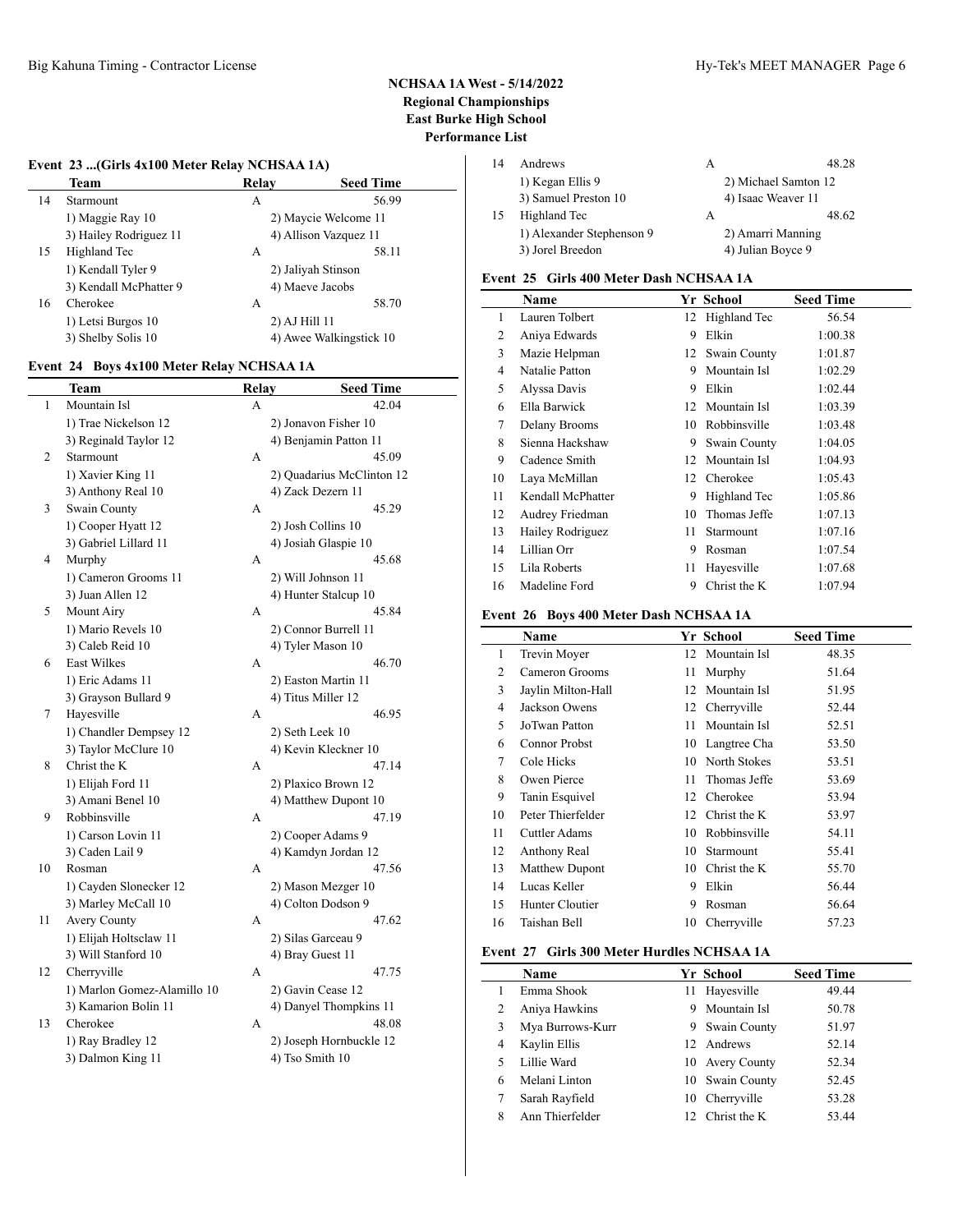## **Event 23 ...(Girls 4x100 Meter Relay NCHSAA 1A)**

| Team                   | Relay         | <b>Seed Time</b>        |
|------------------------|---------------|-------------------------|
| Starmount              | A             | 56.99                   |
| 1) Maggie Ray 10       |               | 2) Maycie Welcome 11    |
| 3) Hailey Rodriguez 11 |               | 4) Allison Vazquez 11   |
| Highland Tec           | A             | 58.11                   |
| 1) Kendall Tyler 9     |               | 2) Jaliyah Stinson      |
| 3) Kendall McPhatter 9 |               | 4) Maeve Jacobs         |
| Cherokee               | А             | 58.70                   |
| 1) Letsi Burgos 10     | 2) AJ Hill 11 |                         |
| 3) Shelby Solis 10     |               | 4) Awee Walkingstick 10 |
|                        |               |                         |

#### **Event 24 Boys 4x100 Meter Relay NCHSAA 1A**

| Team                   | Relay                                                                                                                                                                                                                                                                                   | <b>Seed Time</b>          |
|------------------------|-----------------------------------------------------------------------------------------------------------------------------------------------------------------------------------------------------------------------------------------------------------------------------------------|---------------------------|
| Mountain Isl           | A                                                                                                                                                                                                                                                                                       | 42.04                     |
| 1) Trae Nickelson 12   |                                                                                                                                                                                                                                                                                         | 2) Jonavon Fisher 10      |
| 3) Reginald Taylor 12  |                                                                                                                                                                                                                                                                                         | 4) Benjamin Patton 11     |
| Starmount              | А                                                                                                                                                                                                                                                                                       | 45.09                     |
| 1) Xavier King 11      |                                                                                                                                                                                                                                                                                         | 2) Quadarius McClinton 12 |
| 3) Anthony Real 10     |                                                                                                                                                                                                                                                                                         | 4) Zack Dezern 11         |
| Swain County           | А                                                                                                                                                                                                                                                                                       | 45.29                     |
| 1) Cooper Hyatt 12     |                                                                                                                                                                                                                                                                                         | 2) Josh Collins 10        |
| 3) Gabriel Lillard 11  |                                                                                                                                                                                                                                                                                         | 4) Josiah Glaspie 10      |
| Murphy                 | А                                                                                                                                                                                                                                                                                       | 45.68                     |
| 1) Cameron Grooms 11   |                                                                                                                                                                                                                                                                                         | 2) Will Johnson 11        |
| 3) Juan Allen 12       |                                                                                                                                                                                                                                                                                         | 4) Hunter Stalcup 10      |
| Mount Airy             | A                                                                                                                                                                                                                                                                                       | 45.84                     |
| 1) Mario Revels 10     |                                                                                                                                                                                                                                                                                         | 2) Connor Burrell 11      |
| 3) Caleb Reid 10       |                                                                                                                                                                                                                                                                                         | 4) Tyler Mason 10         |
| <b>East Wilkes</b>     | A                                                                                                                                                                                                                                                                                       | 46.70                     |
| 1) Eric Adams 11       |                                                                                                                                                                                                                                                                                         | 2) Easton Martin 11       |
| 3) Grayson Bullard 9   |                                                                                                                                                                                                                                                                                         | 4) Titus Miller 12        |
| Hayesville             | A                                                                                                                                                                                                                                                                                       | 46.95                     |
| 1) Chandler Dempsey 12 |                                                                                                                                                                                                                                                                                         | 2) Seth Leek 10           |
| 3) Taylor McClure 10   |                                                                                                                                                                                                                                                                                         | 4) Kevin Kleckner 10      |
| Christ the K           | A                                                                                                                                                                                                                                                                                       | 47.14                     |
| 1) Elijah Ford 11      |                                                                                                                                                                                                                                                                                         | 2) Plaxico Brown 12       |
| 3) Amani Benel 10      |                                                                                                                                                                                                                                                                                         | 4) Matthew Dupont 10      |
|                        | A                                                                                                                                                                                                                                                                                       | 47.19                     |
| 1) Carson Lovin 11     |                                                                                                                                                                                                                                                                                         | 2) Cooper Adams 9         |
|                        |                                                                                                                                                                                                                                                                                         | 4) Kamdyn Jordan 12       |
|                        |                                                                                                                                                                                                                                                                                         | 47.56                     |
|                        |                                                                                                                                                                                                                                                                                         | 2) Mason Mezger 10        |
|                        |                                                                                                                                                                                                                                                                                         | 4) Colton Dodson 9        |
|                        |                                                                                                                                                                                                                                                                                         | 47.62                     |
|                        |                                                                                                                                                                                                                                                                                         | 2) Silas Garceau 9        |
|                        |                                                                                                                                                                                                                                                                                         | 4) Bray Guest 11          |
|                        |                                                                                                                                                                                                                                                                                         | 47.75                     |
|                        |                                                                                                                                                                                                                                                                                         | 2) Gavin Cease 12         |
|                        |                                                                                                                                                                                                                                                                                         | 4) Danyel Thompkins 11    |
|                        |                                                                                                                                                                                                                                                                                         | 48.08                     |
|                        |                                                                                                                                                                                                                                                                                         | 2) Joseph Hornbuckle 12   |
|                        |                                                                                                                                                                                                                                                                                         | 4) Tso Smith 10           |
|                        | Robbinsville<br>3) Caden Lail 9<br>Rosman<br>1) Cayden Slonecker 12<br>3) Marley McCall 10<br>Avery County<br>1) Elijah Holtsclaw 11<br>3) Will Stanford 10<br>Cherryville<br>1) Marlon Gomez-Alamillo 10<br>3) Kamarion Bolin 11<br>Cherokee<br>1) Ray Bradley 12<br>3) Dalmon King 11 | A<br>А<br>А<br>A          |

| 14 | Andrews                   | А |                      | 48.28 |
|----|---------------------------|---|----------------------|-------|
|    | 1) Kegan Ellis 9          |   | 2) Michael Samton 12 |       |
|    | 3) Samuel Preston 10      |   | 4) Isaac Weaver 11   |       |
| 15 | Highland Tec              | А |                      | 48.62 |
|    | 1) Alexander Stephenson 9 |   | 2) Amarri Manning    |       |
|    | 3) Jorel Breedon          |   | 4) Julian Boyce 9    |       |
|    |                           |   |                      |       |

### **Event 25 Girls 400 Meter Dash NCHSAA 1A**

|                | Name              |    | Yr School    | <b>Seed Time</b> |
|----------------|-------------------|----|--------------|------------------|
| 1              | Lauren Tolbert    | 12 | Highland Tec | 56.54            |
| $\overline{2}$ | Aniya Edwards     | 9  | Elkin        | 1:00.38          |
| 3              | Mazie Helpman     | 12 | Swain County | 1:01.87          |
| 4              | Natalie Patton    | 9  | Mountain Isl | 1:02.29          |
| 5              | Alyssa Davis      | 9  | Elkin        | 1:02.44          |
| 6              | Ella Barwick      | 12 | Mountain Isl | 1:03.39          |
| 7              | Delany Brooms     | 10 | Robbinsville | 1:03.48          |
| 8              | Sienna Hackshaw   | 9  | Swain County | 1:04.05          |
| 9              | Cadence Smith     | 12 | Mountain Isl | 1:04.93          |
| 10             | Laya McMillan     | 12 | Cherokee     | 1:05.43          |
| 11             | Kendall McPhatter | 9  | Highland Tec | 1:05.86          |
| 12             | Audrey Friedman   | 10 | Thomas Jeffe | 1:07.13          |
| 13             | Hailey Rodriguez  | 11 | Starmount    | 1:07.16          |
| 14             | Lillian Orr       | 9  | Rosman       | 1:07.54          |
| 15             | Lila Roberts      | 11 | Hayesville   | 1:07.68          |
| 16             | Madeline Ford     | 9  | Christ the K | 1:07.94          |

## **Event 26 Boys 400 Meter Dash NCHSAA 1A**

|    | Name               |    | Yr School      | <b>Seed Time</b> |
|----|--------------------|----|----------------|------------------|
| 1  | Trevin Moyer       | 12 | Mountain Isl   | 48.35            |
| 2  | Cameron Grooms     | 11 | Murphy         | 51.64            |
| 3  | Jaylin Milton-Hall | 12 | Mountain Isl   | 51.95            |
| 4  | Jackson Owens      |    | 12 Cherryville | 52.44            |
| 5  | JoTwan Patton      | 11 | Mountain Isl   | 52.51            |
| 6  | Connor Probst      | 10 | Langtree Cha   | 53.50            |
| 7  | Cole Hicks         | 10 | North Stokes   | 53.51            |
| 8  | Owen Pierce        | 11 | Thomas Jeffe   | 53.69            |
| 9  | Tanin Esquivel     | 12 | Cherokee       | 53.94            |
| 10 | Peter Thierfelder  | 12 | Christ the K   | 53.97            |
| 11 | Cuttler Adams      | 10 | Robbinsville   | 54.11            |
| 12 | Anthony Real       | 10 | Starmount      | 55.41            |
| 13 | Matthew Dupont     | 10 | Christ the K   | 55.70            |
| 14 | Lucas Keller       | 9  | Elkin          | 56.44            |
| 15 | Hunter Cloutier    | 9  | Rosman         | 56.64            |
| 16 | Taishan Bell       | 10 | Cherryville    | 57.23            |

## **Event 27 Girls 300 Meter Hurdles NCHSAA 1A**

|   | <b>Name</b>      |    | Yr School       | <b>Seed Time</b> |
|---|------------------|----|-----------------|------------------|
|   | Emma Shook       | 11 | Hayesville      | 49.44            |
| 2 | Aniya Hawkins    |    | 9 Mountain Isl  | 50.78            |
| 3 | Mya Burrows-Kurr |    | 9 Swain County  | 51.97            |
| 4 | Kaylin Ellis     |    | 12 Andrews      | 52.14            |
| 5 | Lillie Ward      |    | 10 Avery County | 52.34            |
| 6 | Melani Linton    |    | 10 Swain County | 52.45            |
|   | Sarah Rayfield   | 10 | Cherryville     | 53.28            |
| 8 | Ann Thierfelder  |    | Christ the K    | 53.44            |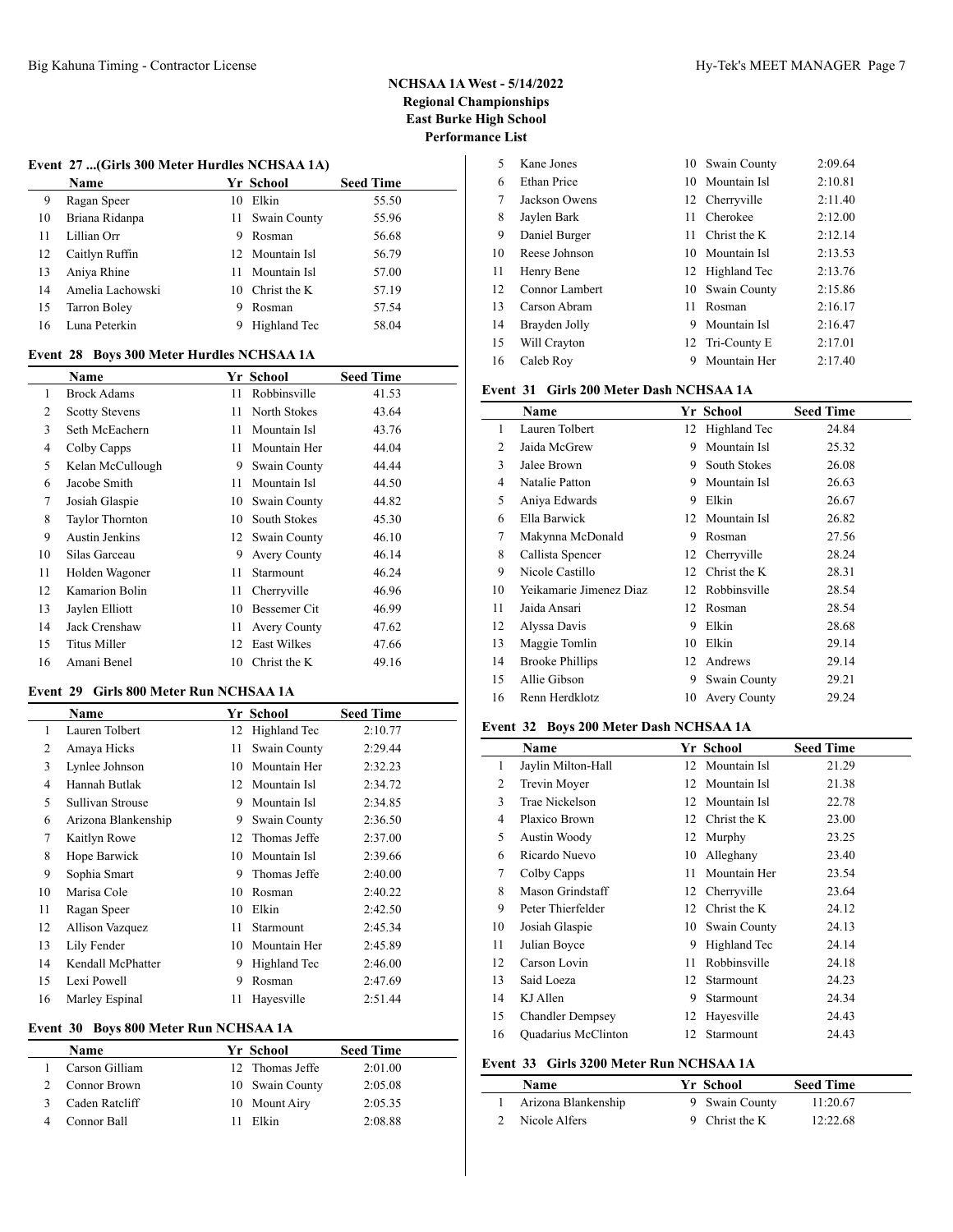#### **Event 27 ...(Girls 300 Meter Hurdles NCHSAA 1A)**

|    | <b>Name</b>      |    | Yr School       | <b>Seed Time</b> |
|----|------------------|----|-----------------|------------------|
| 9  | Ragan Speer      | 10 | Elkin           | 55.50            |
| 10 | Briana Ridanpa   |    | 11 Swain County | 55.96            |
| 11 | Lillian Orr      | 9  | Rosman          | 56.68            |
| 12 | Caitlyn Ruffin   |    | 12 Mountain Isl | 56.79            |
| 13 | Aniya Rhine      | 11 | Mountain Isl    | 57.00            |
| 14 | Amelia Lachowski |    | 10 Christ the K | 57.19            |
| 15 | Tarron Boley     | 9  | Rosman          | 57.54            |
| 16 | Luna Peterkin    |    | Highland Tec    | 58.04            |

#### **Event 28 Boys 300 Meter Hurdles NCHSAA 1A**

|    | Name                   |    | Yr School           | <b>Seed Time</b> |
|----|------------------------|----|---------------------|------------------|
| 1  | <b>Brock Adams</b>     | 11 | Robbinsville        | 41.53            |
| 2  | <b>Scotty Stevens</b>  | 11 | North Stokes        | 43.64            |
| 3  | Seth McEachern         | 11 | Mountain Isl        | 43.76            |
| 4  | Colby Capps            | 11 | Mountain Her        | 44.04            |
| 5  | Kelan McCullough       | 9  | Swain County        | 44.44            |
| 6  | Jacobe Smith           | 11 | Mountain Isl        | 44.50            |
| 7  | Josiah Glaspie         | 10 | Swain County        | 44.82            |
| 8  | <b>Taylor Thornton</b> | 10 | South Stokes        | 45.30            |
| 9  | Austin Jenkins         | 12 | Swain County        | 46.10            |
| 10 | Silas Garceau          | 9  | <b>Avery County</b> | 46.14            |
| 11 | Holden Wagoner         | 11 | Starmount           | 46.24            |
| 12 | Kamarion Bolin         | 11 | Cherryville         | 46.96            |
| 13 | Jaylen Elliott         | 10 | Bessemer Cit        | 46.99            |
| 14 | Jack Crenshaw          | 11 | Avery County        | 47.62            |
| 15 | Titus Miller           | 12 | East Wilkes         | 47.66            |
| 16 | Amani Benel            | 10 | Christ the K        | 49.16            |

## **Event 29 Girls 800 Meter Run NCHSAA 1A**

|    | <b>Name</b>         |    | Yr School    | <b>Seed Time</b> |  |
|----|---------------------|----|--------------|------------------|--|
| 1  | Lauren Tolbert      | 12 | Highland Tec | 2:10.77          |  |
| 2  | Amaya Hicks         | 11 | Swain County | 2:29.44          |  |
| 3  | Lynlee Johnson      | 10 | Mountain Her | 2:32.23          |  |
| 4  | Hannah Butlak       | 12 | Mountain Isl | 2:34.72          |  |
| 5  | Sullivan Strouse    | 9  | Mountain Isl | 2:34.85          |  |
| 6  | Arizona Blankenship | 9  | Swain County | 2:36.50          |  |
| 7  | Kaitlyn Rowe        | 12 | Thomas Jeffe | 2:37.00          |  |
| 8  | Hope Barwick        | 10 | Mountain Isl | 2:39.66          |  |
| 9  | Sophia Smart        | 9  | Thomas Jeffe | 2:40.00          |  |
| 10 | Marisa Cole         | 10 | Rosman       | 2:40.22          |  |
| 11 | Ragan Speer         | 10 | Elkin        | 2:42.50          |  |
| 12 | Allison Vazquez     | 11 | Starmount    | 2:45.34          |  |
| 13 | Lily Fender         | 10 | Mountain Her | 2:45.89          |  |
| 14 | Kendall McPhatter   | 9  | Highland Tec | 2:46.00          |  |
| 15 | Lexi Powell         | 9  | Rosman       | 2:47.69          |  |
| 16 | Marley Espinal      | 11 | Hayesville   | 2:51.44          |  |

#### **Event 30 Boys 800 Meter Run NCHSAA 1A**

| Name           | Yr School       | <b>Seed Time</b> |
|----------------|-----------------|------------------|
| Carson Gilliam | 12 Thomas Jeffe | 2:01.00          |
| Connor Brown   | 10 Swain County | 2:05.08          |
| Caden Ratcliff | 10 Mount Airv   | 2:05.35          |
| Connor Ball    | Elkin           | 2:08.88          |
|                |                 |                  |

| 5  | Kane Jones         |     | 10 Swain County | 2:09.64 |
|----|--------------------|-----|-----------------|---------|
| 6  | <b>Ethan Price</b> |     | 10 Mountain Isl | 2:10.81 |
| 7  | Jackson Owens      |     | 12 Cherryville  | 2:11.40 |
| 8  | Jaylen Bark        | 11  | Cherokee        | 2:12.00 |
| 9  | Daniel Burger      | 11. | Christ the K    | 2:12.14 |
| 10 | Reese Johnson      |     | 10 Mountain Isl | 2:13.53 |
| 11 | Henry Bene         |     | 12 Highland Tec | 2:13.76 |
| 12 | Connor Lambert     |     | 10 Swain County | 2:15.86 |
| 13 | Carson Abram       | 11  | Rosman          | 2:16.17 |
| 14 | Brayden Jolly      | 9   | Mountain Isl    | 2:16.47 |
| 15 | Will Crayton       |     | 12 Tri-County E | 2:17.01 |
| 16 | Caleb Roy          | 9   | Mountain Her    | 2:17.40 |

## **Event 31 Girls 200 Meter Dash NCHSAA 1A**

|    | <b>Name</b>             |    | Yr School           | <b>Seed Time</b> |
|----|-------------------------|----|---------------------|------------------|
| 1  | Lauren Tolbert          | 12 | Highland Tec        | 24.84            |
| 2  | Jaida McGrew            | 9  | Mountain Isl        | 25.32            |
| 3  | Jalee Brown             | 9  | South Stokes        | 26.08            |
| 4  | Natalie Patton          | 9  | Mountain Isl        | 26.63            |
| 5  | Aniya Edwards           | 9  | Elkin               | 26.67            |
| 6  | Ella Barwick            | 12 | Mountain Isl        | 26.82            |
| 7  | Makynna McDonald        | 9  | Rosman              | 27.56            |
| 8  | Callista Spencer        | 12 | Cherryville         | 28.24            |
| 9  | Nicole Castillo         | 12 | Christ the K        | 28.31            |
| 10 | Yeikamarie Jimenez Diaz | 12 | Robbinsville        | 28.54            |
| 11 | Jaida Ansari            | 12 | Rosman              | 28.54            |
| 12 | Alyssa Davis            | 9  | Elkin               | 28.68            |
| 13 | Maggie Tomlin           | 10 | Elkin               | 29.14            |
| 14 | <b>Brooke Phillips</b>  | 12 | Andrews             | 29.14            |
| 15 | Allie Gibson            | 9  | Swain County        | 29.21            |
| 16 | Renn Herdklotz          | 10 | <b>Avery County</b> | 29.24            |

## **Event 32 Boys 200 Meter Dash NCHSAA 1A**

|    | Name                       |    | Yr School    | <b>Seed Time</b> |
|----|----------------------------|----|--------------|------------------|
| 1  | Jaylin Milton-Hall         | 12 | Mountain Isl | 21.29            |
| 2  | Trevin Moyer               | 12 | Mountain Isl | 21.38            |
| 3  | Trae Nickelson             | 12 | Mountain Isl | 22.78            |
| 4  | Plaxico Brown              | 12 | Christ the K | 23.00            |
| 5  | Austin Woody               | 12 | Murphy       | 23.25            |
| 6  | Ricardo Nuevo              | 10 | Alleghany    | 23.40            |
| 7  | Colby Capps                | 11 | Mountain Her | 23.54            |
| 8  | Mason Grindstaff           | 12 | Cherryville  | 23.64            |
| 9  | Peter Thierfelder          | 12 | Christ the K | 24.12            |
| 10 | Josiah Glaspie             | 10 | Swain County | 24.13            |
| 11 | Julian Boyce               | 9  | Highland Tec | 24.14            |
| 12 | Carson Lovin               | 11 | Robbinsville | 24.18            |
| 13 | Said Loeza                 | 12 | Starmount    | 24.23            |
| 14 | KJ Allen                   | 9  | Starmount    | 24.34            |
| 15 | <b>Chandler Dempsey</b>    | 12 | Hayesville   | 24.43            |
| 16 | <b>Ouadarius McClinton</b> | 12 | Starmount    | 24.43            |

## **Event 33 Girls 3200 Meter Run NCHSAA 1A**

| <b>Name</b>         | Yr School      | <b>Seed Time</b> |
|---------------------|----------------|------------------|
| Arizona Blankenship | 9 Swain County | 11:20.67         |
| 2 Nicole Alfers     | 9 Christ the K | 12:22.68         |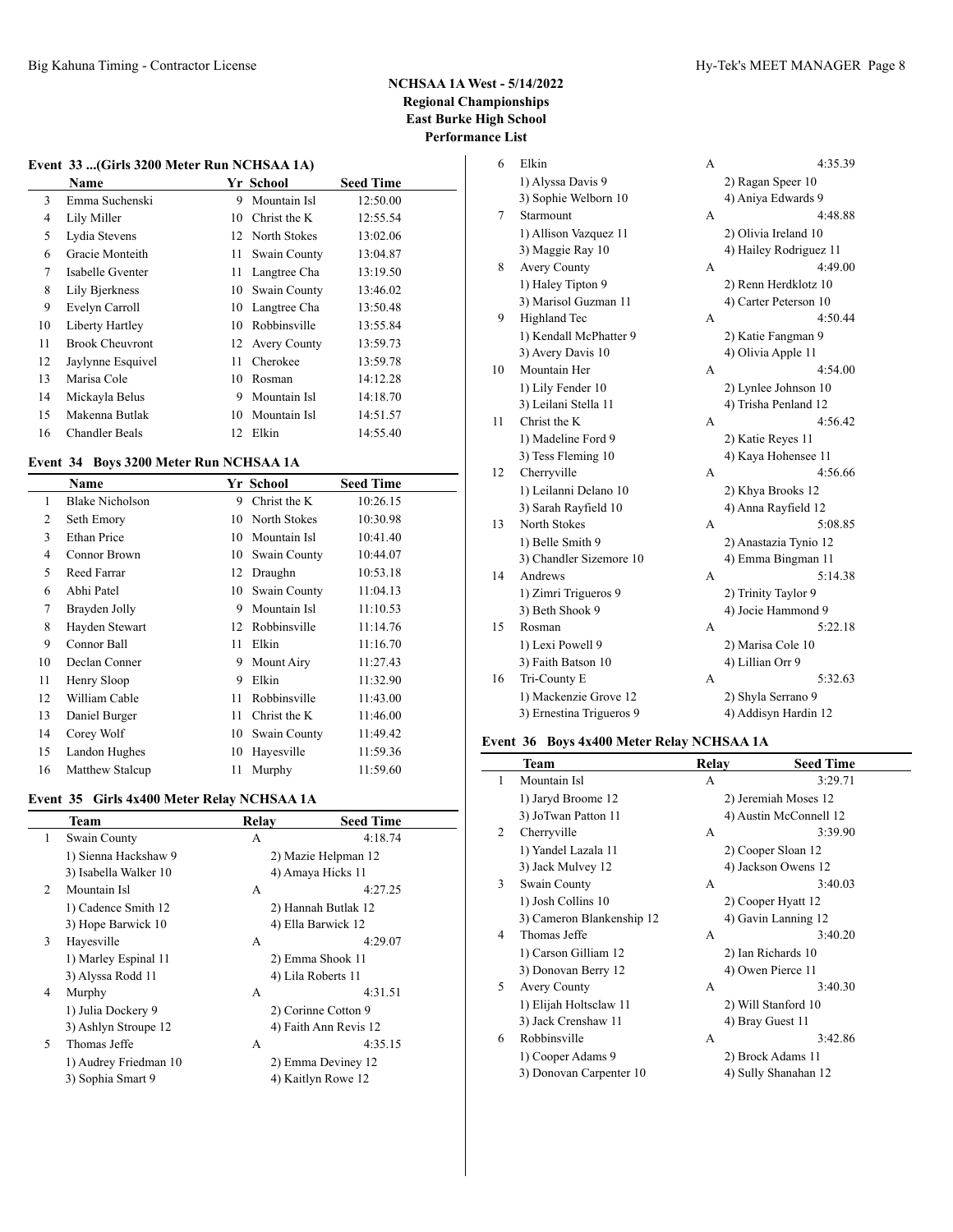## **Event 33 ...(Girls 3200 Meter Run NCHSAA 1A)**

|    | Name                   |                 | Yr School       | <b>Seed Time</b> |
|----|------------------------|-----------------|-----------------|------------------|
| 3  | Emma Suchenski         | 9               | Mountain Isl    | 12:50.00         |
| 4  | Lily Miller            | 10              | Christ the K    | 12:55.54         |
| 5  | Lydia Stevens          |                 | 12 North Stokes | 13:02.06         |
| 6  | Gracie Monteith        | 11              | Swain County    | 13:04.87         |
| 7  | Isabelle Gventer       | 11              | Langtree Cha    | 13:19.50         |
| 8  | Lily Bjerkness         | 10              | Swain County    | 13:46.02         |
| 9  | Evelyn Carroll         |                 | 10 Langtree Cha | 13:50.48         |
| 10 | Liberty Hartley        | 10              | Robbinsville    | 13:55.84         |
| 11 | <b>Brook Cheuvront</b> |                 | 12 Avery County | 13:59.73         |
| 12 | Jaylynne Esquivel      | 11              | Cherokee        | 13:59.78         |
| 13 | Marisa Cole            | 10              | Rosman          | 14:12.28         |
| 14 | Mickayla Belus         | 9               | Mountain Isl    | 14:18.70         |
| 15 | Makenna Butlak         | 10              | Mountain Isl    | 14:51.57         |
| 16 | <b>Chandler Beals</b>  | 12 <sub>1</sub> | Elkin           | 14:55.40         |

# **Event 34 Boys 3200 Meter Run NCHSAA 1A**

|    | <b>Name</b>     |    | Yr School    | <b>Seed Time</b> |
|----|-----------------|----|--------------|------------------|
| 1  | Blake Nicholson | 9  | Christ the K | 10:26.15         |
| 2  | Seth Emory      | 10 | North Stokes | 10:30.98         |
| 3  | Ethan Price     | 10 | Mountain Isl | 10:41.40         |
| 4  | Connor Brown    | 10 | Swain County | 10:44.07         |
| 5  | Reed Farrar     | 12 | Draughn      | 10:53.18         |
| 6  | Abhi Patel      | 10 | Swain County | 11:04.13         |
| 7  | Brayden Jolly   | 9  | Mountain Isl | 11:10.53         |
| 8  | Hayden Stewart  | 12 | Robbinsville | 11:14.76         |
| 9  | Connor Ball     | 11 | Elkin        | 11:16.70         |
| 10 | Declan Conner   | 9  | Mount Airy   | 11:27.43         |
| 11 | Henry Sloop     | 9  | Elkin        | 11:32.90         |
| 12 | William Cable   | 11 | Robbinsville | 11:43.00         |
| 13 | Daniel Burger   | 11 | Christ the K | 11:46.00         |
| 14 | Corey Wolf      | 10 | Swain County | 11:49.42         |
| 15 | Landon Hughes   | 10 | Hayesville   | 11:59.36         |
| 16 | Matthew Stalcup | 11 | Murphy       | 11:59.60         |

### **Event 35 Girls 4x400 Meter Relay NCHSAA 1A**

|    | Team                  | Relav | <b>Seed Time</b>      |
|----|-----------------------|-------|-----------------------|
| 1  | Swain County          | A     | 4:18.74               |
|    | 1) Sienna Hackshaw 9  |       | 2) Mazie Helpman 12   |
|    | 3) Isabella Walker 10 |       | 4) Amaya Hicks 11     |
| 2  | Mountain Isl          | A     | 4:27.25               |
|    | 1) Cadence Smith 12   |       | 2) Hannah Butlak 12   |
|    | 3) Hope Barwick 10    |       | 4) Ella Barwick 12    |
| 3  | Hayesville            | A     | 4:29.07               |
|    | 1) Marley Espinal 11  |       | 2) Emma Shook 11      |
|    | 3) Alyssa Rodd 11     |       | 4) Lila Roberts 11    |
| 4  | Murphy                | A     | 4:31.51               |
|    | 1) Julia Dockery 9    |       | 2) Corinne Cotton 9   |
|    | 3) Ashlyn Stroupe 12  |       | 4) Faith Ann Revis 12 |
| 5. | Thomas Jeffe          | A     | 4:35.15               |
|    | 1) Audrey Friedman 10 |       | 2) Emma Deviney 12    |
|    | 3) Sophia Smart 9     |       | 4) Kaitlyn Rowe 12    |
|    |                       |       |                       |

| 6  | Elkin                    | A | 4:35.39                |  |
|----|--------------------------|---|------------------------|--|
|    | 1) Alyssa Davis 9        |   | 2) Ragan Speer 10      |  |
|    | 3) Sophie Welborn 10     |   | 4) Aniya Edwards 9     |  |
| 7  | Starmount                | A | 4:48.88                |  |
|    | 1) Allison Vazquez 11    |   | 2) Olivia Ireland 10   |  |
|    | 3) Maggie Ray 10         |   | 4) Hailey Rodriguez 11 |  |
| 8  | <b>Avery County</b>      | A | 4:49.00                |  |
|    | 1) Haley Tipton 9        |   | 2) Renn Herdklotz 10   |  |
|    | 3) Marisol Guzman 11     |   | 4) Carter Peterson 10  |  |
| 9  | Highland Tec             | A | 4:50.44                |  |
|    | 1) Kendall McPhatter 9   |   | 2) Katie Fangman 9     |  |
|    | 3) Avery Davis 10        |   | 4) Olivia Apple 11     |  |
| 10 | Mountain Her             | A | 4:54.00                |  |
|    | 1) Lily Fender 10        |   | 2) Lynlee Johnson 10   |  |
|    | 3) Leilani Stella 11     |   | 4) Trisha Penland 12   |  |
| 11 | Christ the K             | А | 4:56.42                |  |
|    | 1) Madeline Ford 9       |   | 2) Katie Reyes 11      |  |
|    | 3) Tess Fleming 10       |   | 4) Kaya Hohensee 11    |  |
| 12 | Cherryville              | A | 4:56.66                |  |
|    | 1) Leilanni Delano 10    |   | 2) Khya Brooks 12      |  |
|    | 3) Sarah Rayfield 10     |   | 4) Anna Rayfield 12    |  |
| 13 | North Stokes             | А | 5:08.85                |  |
|    | 1) Belle Smith 9         |   | 2) Anastazia Tynio 12  |  |
|    | 3) Chandler Sizemore 10  |   | 4) Emma Bingman 11     |  |
| 14 | Andrews                  | A | 5:14.38                |  |
|    | 1) Zimri Trigueros 9     |   | 2) Trinity Taylor 9    |  |
|    | 3) Beth Shook 9          |   | 4) Jocie Hammond 9     |  |
| 15 | Rosman                   | А | 5:22.18                |  |
|    | 1) Lexi Powell 9         |   | 2) Marisa Cole 10      |  |
|    | 3) Faith Batson 10       |   | 4) Lillian Orr 9       |  |
| 16 | Tri-County E             | A | 5:32.63                |  |
|    | 1) Mackenzie Grove 12    |   | 2) Shyla Serrano 9     |  |
|    | 3) Ernestina Trigueros 9 |   | 4) Addisyn Hardin 12   |  |

#### **Event 36 Boys 4x400 Meter Relay NCHSAA 1A**

|   | Team                      | Relav | <b>Seed Time</b>       |
|---|---------------------------|-------|------------------------|
| 1 | Mountain Isl              | A     | 3:29.71                |
|   | 1) Jaryd Broome 12        |       | 2) Jeremiah Moses 12   |
|   | 3) JoTwan Patton 11       |       | 4) Austin McConnell 12 |
| 2 | Cherryville               | А     | 3:39.90                |
|   | 1) Yandel Lazala 11       |       | 2) Cooper Sloan 12     |
|   | 3) Jack Mulvey 12         |       | 4) Jackson Owens 12    |
| 3 | Swain County              | А     | 3:40.03                |
|   | 1) Josh Collins 10        |       | 2) Cooper Hyatt 12     |
|   | 3) Cameron Blankenship 12 |       | 4) Gavin Lanning 12    |
| 4 | Thomas Jeffe              | А     | 3:40.20                |
|   | 1) Carson Gilliam 12      |       | 2) Ian Richards 10     |
|   | 3) Donovan Berry 12       |       | 4) Owen Pierce 11      |
| 5 | <b>Avery County</b>       | А     | 3:40.30                |
|   | 1) Elijah Holtsclaw 11    |       | 2) Will Stanford 10    |
|   | 3) Jack Crenshaw 11       |       | 4) Bray Guest 11       |
| 6 | Robbinsville              | А     | 3:42.86                |
|   | 1) Cooper Adams 9         |       | 2) Brock Adams 11      |
|   | 3) Donovan Carpenter 10   |       | 4) Sully Shanahan 12   |